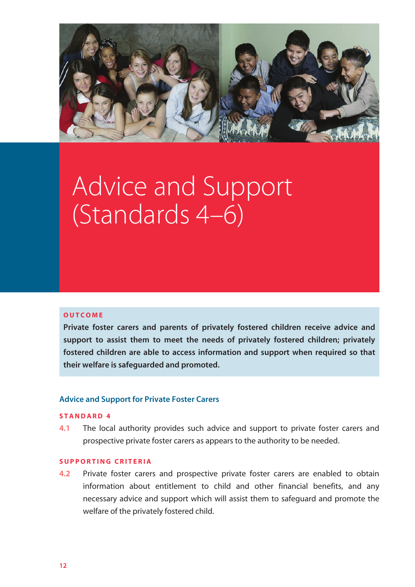

# Advice and Support (Standards 4–6)

## **OUTCOME**

**Private foster carers and parents of privately fostered children receive advice and support to assist them to meet the needs of privately fostered children; privately fostered children are able to access information and support when required so that their welfare is safeguarded and promoted.** 

## **Advice and Support for Private Foster Carers**

## **STANDARD 4**

**4.1** The local authority provides such advice and support to private foster carers and prospective private foster carers as appears to the authority to be needed.

## **SUPPORTING CRITERIA**

**4.2** Private foster carers and prospective private foster carers are enabled to obtain information about entitlement to child and other financial benefits, and any necessary advice and support which will assist them to safeguard and promote the welfare of the privately fostered child.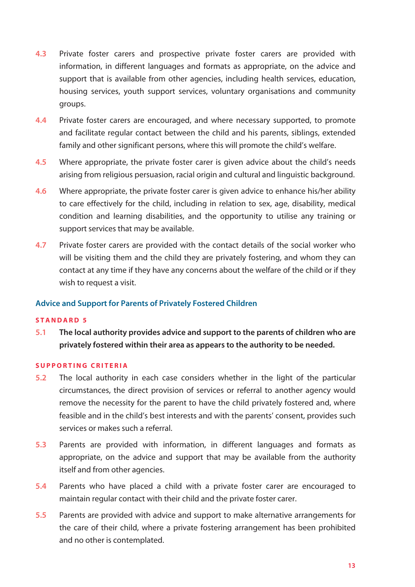- **4.3** Private foster carers and prospective private foster carers are provided with information, in different languages and formats as appropriate, on the advice and support that is available from other agencies, including health services, education, housing services, youth support services, voluntary organisations and community groups.
- **4.4** Private foster carers are encouraged, and where necessary supported, to promote and facilitate regular contact between the child and his parents, siblings, extended family and other significant persons, where this will promote the child's welfare.
- **4.5** Where appropriate, the private foster carer is given advice about the child's needs arising from religious persuasion, racial origin and cultural and linguistic background.
- **4.6** Where appropriate, the private foster carer is given advice to enhance his/her ability to care effectively for the child, including in relation to sex, age, disability, medical condition and learning disabilities, and the opportunity to utilise any training or support services that may be available.
- **4.7** Private foster carers are provided with the contact details of the social worker who will be visiting them and the child they are privately fostering, and whom they can contact at any time if they have any concerns about the welfare of the child or if they wish to request a visit.

## **Advice and Support for Parents of Privately Fostered Children**

## **STANDARD 5**

**5.1 The local authority provides advice and support to the parents of children who are privately fostered within their area as appears to the authority to be needed.** 

## **SUPPORTING CRITERIA**

- **5.2** The local authority in each case considers whether in the light of the particular circumstances, the direct provision of services or referral to another agency would remove the necessity for the parent to have the child privately fostered and, where feasible and in the child's best interests and with the parents' consent, provides such services or makes such a referral.
- **5.3** Parents are provided with information, in different languages and formats as appropriate, on the advice and support that may be available from the authority itself and from other agencies.
- **5.4** Parents who have placed a child with a private foster carer are encouraged to maintain regular contact with their child and the private foster carer.
- **5.5** Parents are provided with advice and support to make alternative arrangements for the care of their child, where a private fostering arrangement has been prohibited and no other is contemplated.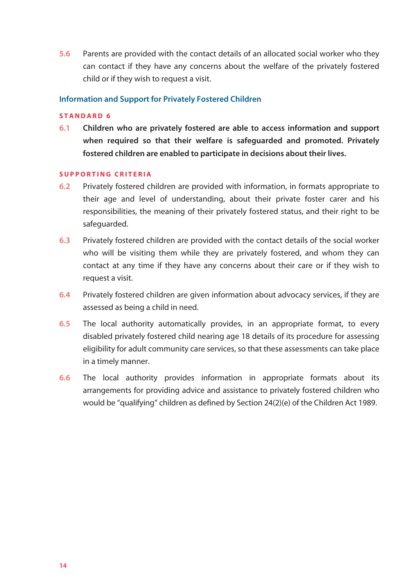**5.6** Parents are provided with the contact details of an allocated social worker who they can contact if they have any concerns about the welfare of the privately fostered child or if they wish to request a visit.

## **Information and Support for Privately Fostered Children**

## **STANDARD 6**

**6.1 Children who are privately fostered are able to access information and support when required so that their welfare is safeguarded and promoted. Privately fostered children are enabled to participate in decisions about their lives.** 

## **SUPPORTING CRITERIA**

- **6.2** Privately fostered children are provided with information, in formats appropriate to their age and level of understanding, about their private foster carer and his responsibilities, the meaning of their privately fostered status, and their right to be safeguarded.
- **6.3** Privately fostered children are provided with the contact details of the social worker who will be visiting them while they are privately fostered, and whom they can contact at any time if they have any concerns about their care or if they wish to request a visit.
- **6.4** Privately fostered children are given information about advocacy services, if they are assessed as being a child in need.
- **6.5** The local authority automatically provides, in an appropriate format, to every disabled privately fostered child nearing age 18 details of its procedure for assessing eligibility for adult community care services, so that these assessments can take place in a timely manner.
- **6.6** The local authority provides information in appropriate formats about its arrangements for providing advice and assistance to privately fostered children who would be "qualifying" children as defined by Section 24(2)(e) of the Children Act 1989.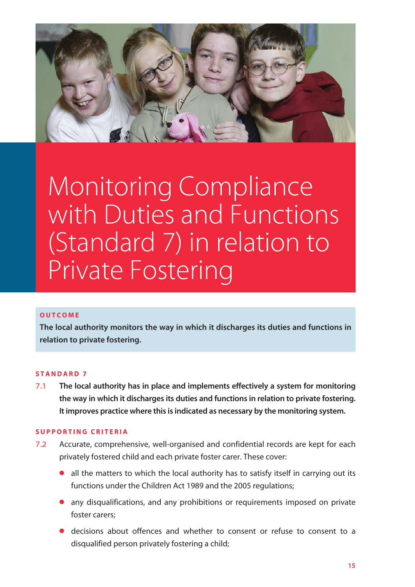

# Monitoring Compliance with Duties and Functions (Standard 7) in relation to Private Fostering

## **OUTCOME**

**The local authority monitors the way in which it discharges its duties and functions in relation to private fostering.** 

## **STANDARD 7**

**7.1** The local authority has in place and implements effectively a system for monitoring **the way in which it discharges its duties and functions in relation to private fostering. It improves practice where this is indicated as necessary by the monitoring system.** 

## **SUPPORTING CRITERIA**

- **7.2** Accurate, comprehensive, well-organised and confidential records are kept for each privately fostered child and each private foster carer. These cover:
	- all the matters to which the local authority has to satisfy itself in carrying out its functions under the Children Act 1989 and the 2005 regulations;
	- **•** any disqualifications, and any prohibitions or requirements imposed on private foster carers;
	- **•** decisions about offences and whether to consent or refuse to consent to a disqualified person privately fostering a child;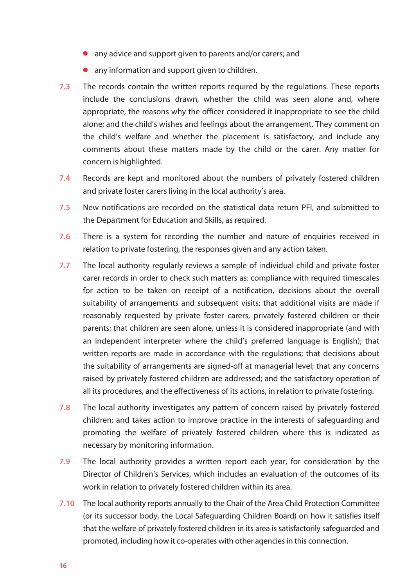- any advice and support given to parents and/or carers; and
- any information and support given to children.
- **7.3** The records contain the written reports required by the regulations. These reports include the conclusions drawn, whether the child was seen alone and, where appropriate, the reasons why the officer considered it inappropriate to see the child alone; and the child's wishes and feelings about the arrangement. They comment on the child's welfare and whether the placement is satisfactory, and include any comments about these matters made by the child or the carer. Any matter for concern is highlighted.
- **7.4** Records are kept and monitored about the numbers of privately fostered children and private foster carers living in the local authority's area.
- **7.5** New notifications are recorded on the statistical data return PFI, and submitted to the Department for Education and Skills, as required.
- **7.6** There is a system for recording the number and nature of enquiries received in relation to private fostering, the responses given and any action taken.
- **7.7** The local authority regularly reviews a sample of individual child and private foster carer records in order to check such matters as: compliance with required timescales for action to be taken on receipt of a notification, decisions about the overall suitability of arrangements and subsequent visits; that additional visits are made if reasonably requested by private foster carers, privately fostered children or their parents; that children are seen alone, unless it is considered inappropriate (and with an independent interpreter where the child's preferred language is English); that written reports are made in accordance with the regulations; that decisions about the suitability of arrangements are signed-off at managerial level; that any concerns raised by privately fostered children are addressed; and the satisfactory operation of all its procedures, and the effectiveness of its actions, in relation to private fostering.
- **7.8** The local authority investigates any pattern of concern raised by privately fostered children; and takes action to improve practice in the interests of safeguarding and promoting the welfare of privately fostered children where this is indicated as necessary by monitoring information.
- **7.9** The local authority provides a written report each year, for consideration by the Director of Children's Services, which includes an evaluation of the outcomes of its work in relation to privately fostered children within its area.
- **7.10** The local authority reports annually to the Chair of the Area Child Protection Committee (or its successor body, the Local Safeguarding Children Board) on how it satisfies itself that the welfare of privately fostered children in its area is satisfactorily safeguarded and promoted, including how it co-operates with other agencies in this connection.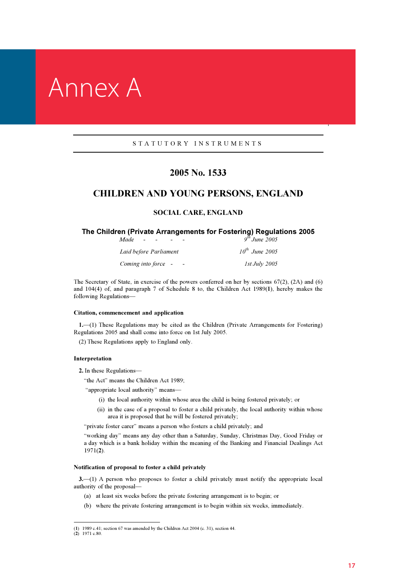## Annex A

#### S T A T U T O R Y I N S T R U M E N T S

## 2005 No. 1533

## CHILDREN AND YOUNG PERSONS, ENGLAND

### SOCIAL CARE, ENGLAND

## **The Children (Private Arrangements for Fostering) Regulations 2005**<br>Made - - - - - - - - - - - 9<sup>th</sup> June 2005

|  | $9$ June $2005$ |  |
|--|-----------------|--|
|  |                 |  |

| Laid before Parliament                          | $10^{th}$ June 2005  |
|-------------------------------------------------|----------------------|
| Coming into force -<br>$\overline{\phantom{0}}$ | <i>1st July 2005</i> |

 and 104(4) of, and paragraph 7 of Schedule 8 to, the Children Act 1989(1), hereby makes the The Secretary of State, in exercise of the powers conferred on her by sections 67(2), (2A) and (6) following Regulations—

#### Citation, commencement and application

 1.—(1) These Regulations may be cited as the Children (Private Arrangements for Fostering) Regulations 2005 and shall come into force on 1st July 2005.

(2) These Regulations apply to England only.

#### Interpretation

2. In these Regulations—

"the Act" means the Children Act 1989;

"appropriate local authority" means—

- (i) the local authority within whose area the child is being fostered privately; or
- (ii) in the case of a proposal to foster a child privately, the local authority within whose area it is proposed that he will be fostered privately;

"private foster carer" means a person who fosters a child privately; and

 a day which is a bank holiday within the meaning of the Banking and Financial Dealings Act "working day" means any day other than a Saturday, Sunday, Christmas Day, Good Friday or 1971(2).

#### Notification of proposal to foster a child privately

 3.—(1) A person who proposes to foster a child privately must notify the appropriate local authority of the proposal—

- (a) at least six weeks before the private fostering arrangement is to begin; or
- (b) where the private fostering arrangement is to begin within six weeks, immediately.

<sup>(</sup>1) 1989 c.41; section 67 was amended by the Children Act 2004 (c. 31), section 44.

 $(2)$  1971 c.80.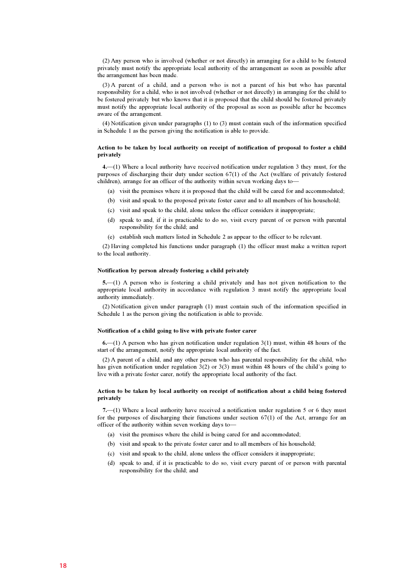(2) Any person who is involved (whether or not directly) in arranging for a child to be fostered privately must notify the appropriate local authority of the arrangement as soon as possible after the arrangement has been made.

 (3) A parent of a child, and a person who is not a parent of his but who has parental be fostered privately but who knows that it is proposed that the child should be fostered privately must notify the appropriate local authority of the proposal as soon as possible after he becomes responsibility for a child, who is not involved (whether or not directly) in arranging for the child to aware of the arrangement.

 (4) Notification given under paragraphs (1) to (3) must contain such of the information specified in Schedule 1 as the person giving the notification is able to provide.

#### Action to be taken by local authority on receipt of notification of proposal to foster a child privately

 4.—(1) Where a local authority have received notification under regulation 3 they must, for the purposes of discharging their duty under section 67(1) of the Act (welfare of privately fostered children), arrange for an officer of the authority within seven working days to—

- (a) visit the premises where it is proposed that the child will be cared for and accommodated;
- (b) visit and speak to the proposed private foster carer and to all members of his household;
- (c) visit and speak to the child, alone unless the officer considers it inappropriate;
- (d) speak to and, if it is practicable to do so, visit every parent of or person with parental responsibility for the child; and
- (e) establish such matters listed in Schedule 2 as appear to the officer to be relevant.

 (2) Having completed his functions under paragraph (1) the officer must make a written report to the local authority.

#### Notification by person already fostering a child privately

 5.—(1) A person who is fostering a child privately and has not given notification to the appropriate local authority in accordance with regulation 3 must notify the appropriate local authority immediately.

 (2) Notification given under paragraph (1) must contain such of the information specified in Schedule 1 as the person giving the notification is able to provide.

#### Notification of a child going to live with private foster carer

 6.—(1) A person who has given notification under regulation 3(1) must, within 48 hours of the start of the arrangement, notify the appropriate local authority of the fact.

 (2) A parent of a child, and any other person who has parental responsibility for the child, who has given notification under regulation 3(2) or 3(3) must within 48 hours of the child's going to live with a private foster carer, notify the appropriate local authority of the fact.

#### Action to be taken by local authority on receipt of notification about a child being fostered privately

 7.—(1) Where a local authority have received a notification under regulation 5 or 6 they must for the purposes of discharging their functions under section 67(1) of the Act, arrange for an officer of the authority within seven working days to—

- (a) visit the premises where the child is being cared for and accommodated;
- (b) visit and speak to the private foster carer and to all members of his household;
- (c) visit and speak to the child, alone unless the officer considers it inappropriate;
- (d) speak to and, if it is practicable to do so, visit every parent of or person with parental responsibility for the child; and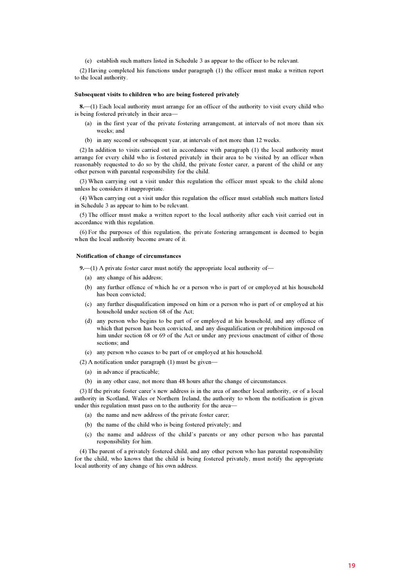(e) establish such matters listed in Schedule 3 as appear to the officer to be relevant.

 (2) Having completed his functions under paragraph (1) the officer must make a written report to the local authority.

#### Subsequent visits to children who are being fostered privately

8.—(1) Each local authority must arrange for an officer of the authority to visit every child who is being fostered privately in their area—

- (a) in the first year of the private fostering arrangement, at intervals of not more than six weeks; and
- (b) in any second or subsequent year, at intervals of not more than 12 weeks.

 (2) In addition to visits carried out in accordance with paragraph (1) the local authority must arrange for every child who is fostered privately in their area to be visited by an officer when reasonably requested to do so by the child, the private foster carer, a parent of the child or any other person with parental responsibility for the child.

 (3) When carrying out a visit under this regulation the officer must speak to the child alone unless he considers it inappropriate.

 (4) When carrying out a visit under this regulation the officer must establish such matters listed in Schedule 3 as appear to him to be relevant.

 (5) The officer must make a written report to the local authority after each visit carried out in accordance with this regulation.

 (6) For the purposes of this regulation, the private fostering arrangement is deemed to begin when the local authority become aware of it.

#### Notification of change of circumstances

9.—(1) A private foster carer must notify the appropriate local authority of—

- (a) any change of his address;
- (b) any further offence of which he or a person who is part of or employed at his household has been convicted;
- (c) any further disqualification imposed on him or a person who is part of or employed at his household under section 68 of the Act;
- (d) any person who begins to be part of or employed at his household, and any offence of which that person has been convicted, and any disqualification or prohibition imposed on him under section 68 or 69 of the Act or under any previous enactment of either of those sections: and
- (e) any person who ceases to be part of or employed at his household.
- (2) A notification under paragraph (1) must be given—
	- (a) in advance if practicable;
	- (b) in any other case, not more than 48 hours after the change of circumstances.

 (3) If the private foster carer's new address is in the area of another local authority, or of a local authority in Scotland, Wales or Northern Ireland, the authority to whom the notification is given under this regulation must pass on to the authority for the area—

- (a) the name and new address of the private foster carer;
- (b) the name of the child who is being fostered privately; and
- (c) the name and address of the child's parents or any other person who has parental responsibility for him.

 (4) The parent of a privately fostered child, and any other person who has parental responsibility for the child, who knows that the child is being fostered privately, must notify the appropriate local authority of any change of his own address.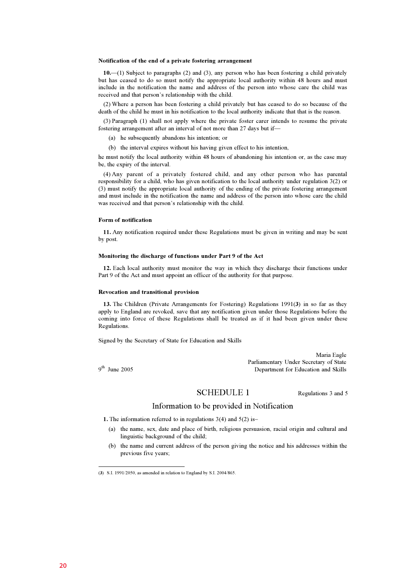#### Notification of the end of a private fostering arrangement

 10.—(1) Subject to paragraphs (2) and (3), any person who has been fostering a child privately but has ceased to do so must notify the appropriate local authority within 48 hours and must include in the notification the name and address of the person into whose care the child was received and that person's relationship with the child.

 (2) Where a person has been fostering a child privately but has ceased to do so because of the death of the child he must in his notification to the local authority indicate that that is the reason.

 (3) Paragraph (1) shall not apply where the private foster carer intends to resume the private fostering arrangement after an interval of not more than 27 days but if—

- (a) he subsequently abandons his intention; or
- (b) the interval expires without his having given effect to his intention,

he must notify the local authority within 48 hours of abandoning his intention or, as the case may be, the expiry of the interval.

 (4) Any parent of a privately fostered child, and any other person who has parental (3) must notify the appropriate local authority of the ending of the private fostering arrangement and must include in the notification the name and address of the person into whose care the child responsibility for a child, who has given notification to the local authority under regulation 3(2) or was received and that person's relationship with the child.

#### Form of notification

 11. Any notification required under these Regulations must be given in writing and may be sent by post.

#### Monitoring the discharge of functions under Part 9 of the Act

 12. Each local authority must monitor the way in which they discharge their functions under Part 9 of the Act and must appoint an officer of the authority for that purpose.

#### Revocation and transitional provision

 13. The Children (Private Arrangements for Fostering) Regulations 1991(3) in so far as they apply to England are revoked, save that any notification given under those Regulations before the coming into force of these Regulations shall be treated as if it had been given under these Regulations.

Signed by the Secretary of State for Education and Skills

Maria Eagle Parliamentary Under Secretary of State 19th June 2005 Parliamentary Under Secretary of State 19th June 2005

#### SCHEDULE 1 Regulations 3 and 5

## Information to be provided in Notification

1. The information referred to in regulations 3(4) and 5(2) is–

- (a) the name, sex, date and place of birth, religious persuasion, racial origin and cultural and linguistic background of the child;
- (b) the name and current address of the person giving the notice and his addresses within the previous five years;

<sup>(</sup>3) S.I. 1991/2050, as amended in relation to England by S.I. 2004/865.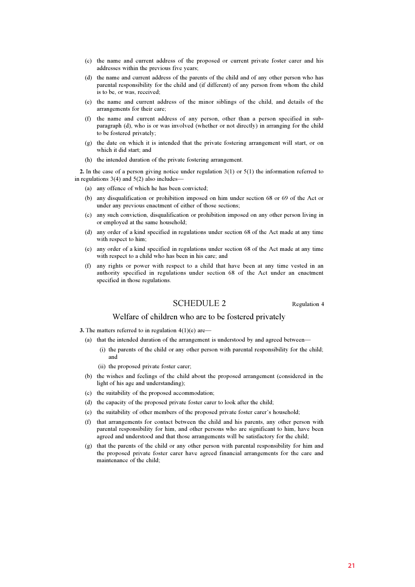- (c) the name and current address of the proposed or current private foster carer and his addresses within the previous five years;
- (d) the name and current address of the parents of the child and of any other person who has parental responsibility for the child and (if different) of any person from whom the child is to be, or was, received;
- (e) the name and current address of the minor siblings of the child, and details of the arrangements for their care;
- (f) the name and current address of any person, other than a person specified in sub- paragraph (d), who is or was involved (whether or not directly) in arranging for the child to be fostered privately;
- (g) the date on which it is intended that the private fostering arrangement will start, or on which it did start; and
- (h) the intended duration of the private fostering arrangement.

 2. In the case of a person giving notice under regulation 3(1) or 5(1) the information referred to in regulations  $3(4)$  and  $5(2)$  also includes-

- (a) any offence of which he has been convicted;
- (b) any disqualification or prohibition imposed on him under section 68 or 69 of the Act or under any previous enactment of either of those sections;
- (c) any such conviction, disqualification or prohibition imposed on any other person living in or employed at the same household;
- (d) any order of a kind specified in regulations under section 68 of the Act made at any time with respect to him;
- (e) any order of a kind specified in regulations under section 68 of the Act made at any time with respect to a child who has been in his care; and
- (f) any rights or power with respect to a child that have been at any time vested in an authority specified in regulations under section 68 of the Act under an enactment specified in those regulations.

SCHEDULE 2 Regulation 4

## Welfare of children who are to be fostered privately

**3.** The matters referred to in regulation  $4(1)(e)$  are—

- (a) that the intended duration of the arrangement is understood by and agreed between—
	- (i) the parents of the child or any other person with parental responsibility for the child; and
	- (ii) the proposed private foster carer;
- (b) the wishes and feelings of the child about the proposed arrangement (considered in the light of his age and understanding);
- (c) the suitability of the proposed accommodation;
- (d) the capacity of the proposed private foster carer to look after the child;
- (e) the suitability of other members of the proposed private foster carer's household;
- (f) that arrangements for contact between the child and his parents, any other person with parental responsibility for him, and other persons who are significant to him, have been agreed and understood and that those arrangements will be satisfactory for the child;
- (g) that the parents of the child or any other person with parental responsibility for him and the proposed private foster carer have agreed financial arrangements for the care and maintenance of the child;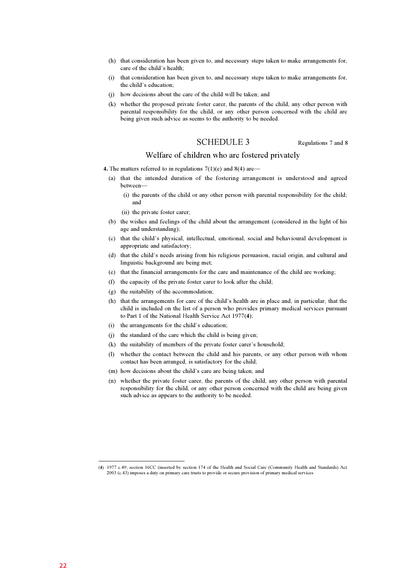- (h) that consideration has been given to, and necessary steps taken to make arrangements for, care of the child's health;
- (i) that consideration has been given to, and necessary steps taken to make arrangements for, the child's education;
- (j) how decisions about the care of the child will be taken; and
- (k) whether the proposed private foster carer, the parents of the child, any other person with parental responsibility for the child, or any other person concerned with the child are being given such advice as seems to the authority to be needed.

## SCHEDULE 3 Regulations 7 and 8

#### Welfare of children who are fostered privately

- 4. The matters referred to in regulations  $7(1)(e)$  and  $8(4)$  are—
	- (a) that the intended duration of the fostering arrangement is understood and agreed between—
		- (i) the parents of the child or any other person with parental responsibility for the child; and
		- (ii) the private foster carer;
	- (b) the wishes and feelings of the child about the arrangement (considered in the light of his age and understanding);
	- (c) that the child's physical, intellectual, emotional, social and behavioural development is appropriate and satisfactory;
	- (d) that the child's needs arising from his religious persuasion, racial origin, and cultural and linguistic background are being met;
	- (e) that the financial arrangements for the care and maintenance of the child are working;
	- (f) the capacity of the private foster carer to look after the child;
	- (g) the suitability of the accommodation;
	- child is included on the list of a person who provides primary medical services pursuant (h) that the arrangements for care of the child's health are in place and, in particular, that the to Part 1 of the National Health Service Act 1977(4);
	- (i) the arrangements for the child's education;
	- $(i)$  the standard of the care which the child is being given;
	- $(k)$  the suitability of members of the private foster carer's household;
	- (l) whether the contact between the child and his parents, or any other person with whom contact has been arranged, is satisfactory for the child;
	- (m) how decisions about the child's care are being taken; and
	- (n) whether the private foster carer, the parents of the child, any other person with parental responsibility for the child, or any other person concerned with the child are being given such advice as appears to the authority to be needed.

<sup>(</sup>4) 1977 c.49; section 16CC (inserted by section 174 of the Health and Social Care (Community Health and Standards) Act 2003 (c.43) imposes a duty on primary care trusts to provide or secure provision of primary medical services.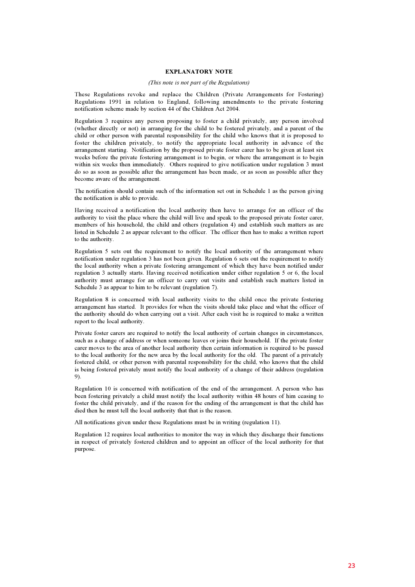#### EXPLANATORY NOTE

#### (This note is not part of the Regulations)

 These Regulations revoke and replace the Children (Private Arrangements for Fostering) Regulations 1991 in relation to England, following amendments to the private fostering notification scheme made by section 44 of the Children Act 2004.

 Regulation 3 requires any person proposing to foster a child privately, any person involved (whether directly or not) in arranging for the child to be fostered privately, and a parent of the child or other person with parental responsibility for the child who knows that it is proposed to foster the children privately, to notify the appropriate local authority in advance of the arrangement starting. Notification by the proposed private foster carer has to be given at least six weeks before the private fostering arrangement is to begin, or where the arrangement is to begin within six weeks then immediately. Others required to give notification under regulation 3 must do so as soon as possible after the arrangement has been made, or as soon as possible after they become aware of the arrangement.

 The notification should contain such of the information set out in Schedule 1 as the person giving the notification is able to provide.

 Having received a notification the local authority then have to arrange for an officer of the members of his household, the child and others (regulation 4) and establish such matters as are authority to visit the place where the child will live and speak to the proposed private foster carer, listed in Schedule 2 as appear relevant to the officer. The officer then has to make a written report to the authority.

 Regulation 5 sets out the requirement to notify the local authority of the arrangement where notification under regulation 3 has not been given. Regulation 6 sets out the requirement to notify the local authority when a private fostering arrangement of which they have been notified under regulation 3 actually starts. Having received notification under either regulation 5 or 6, the local authority must arrange for an officer to carry out visits and establish such matters listed in Schedule 3 as appear to him to be relevant (regulation 7).

 Regulation 8 is concerned with local authority visits to the child once the private fostering arrangement has started. It provides for when the visits should take place and what the officer of the authority should do when carrying out a visit. After each visit he is required to make a written report to the local authority.

 Private foster carers are required to notify the local authority of certain changes in circumstances, such as a change of address or when someone leaves or joins their household. If the private foster carer moves to the area of another local authority then certain information is required to be passed to the local authority for the new area by the local authority for the old. The parent of a privately fostered child, or other person with parental responsibility for the child, who knows that the child is being fostered privately must notify the local authority of a change of their address (regulation 9).

 Regulation 10 is concerned with notification of the end of the arrangement. A person who has been fostering privately a child must notify the local authority within 48 hours of him ceasing to foster the child privately, and if the reason for the ending of the arrangement is that the child has died then he must tell the local authority that that is the reason.

All notifications given under these Regulations must be in writing (regulation 11).

 in respect of privately fostered children and to appoint an officer of the local authority for that Regulation 12 requires local authorities to monitor the way in which they discharge their functions purpose.